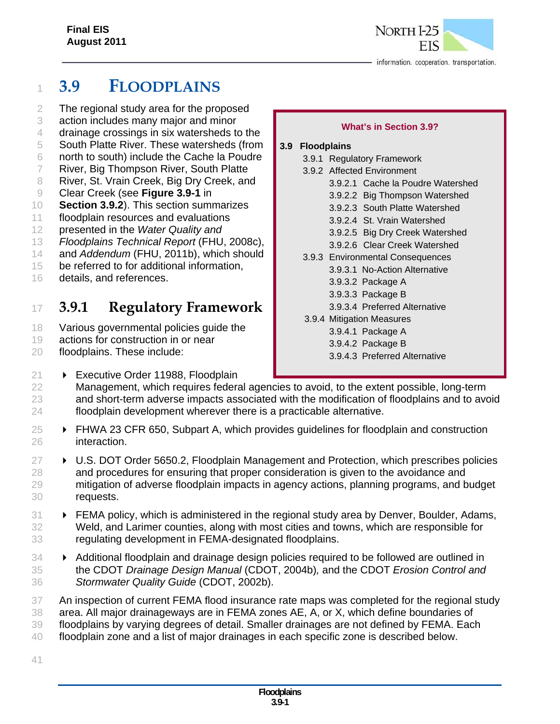# <sup>1</sup> **3.9 FLOODPLAINS**

- 2 The regional study area for the proposed
- 3 action includes many major and minor
- 4 drainage crossings in six watersheds to the
- 5 South Platte River. These watersheds (from
- 6 north to south) include the Cache la Poudre
- 7 River, Big Thompson River, South Platte
- 8 River, St. Vrain Creek, Big Dry Creek, and
- 9 Clear Creek (see **Figure 3.9-1** in
- 10 **Section 3.9.2**). This section summarizes
- 11 floodplain resources and evaluations
- 12 presented in the *Water Quality and*
- 13 *Floodplains Technical Report* (FHU, 2008c),
- 14 and *Addendum* (FHU, 2011b), which should
- 15 be referred to for additional information,
- 16 details, and references.

# <sup>17</sup> **3.9.1 Regulatory Framework**

- 18 Various governmental policies guide the
- 19 actions for construction in or near
- 20 floodplains. These include:
- 21 **Executive Order 11988, Floodplain**

#### **What's in Section 3.9?**

### **3.9 Floodplains**

- 3.9.1 Regulatory Framework
- 3.9.2 Affected Environment
	- 3.9.2.1 Cache la Poudre Watershed
	- 3.9.2.2 Big Thompson Watershed
	- 3.9.2.3 South Platte Watershed
	- 3.9.2.4 St. Vrain Watershed
	- 3.9.2.5 Big Dry Creek Watershed
	- 3.9.2.6 Clear Creek Watershed
- 3.9.3 Environmental Consequences
	- 3.9.3.1 No-Action Alternative
	- 3.9.3.2 Package A
	- 3.9.3.3 Package B
	- 3.9.3.4 Preferred Alternative
- 3.9.4 Mitigation Measures
	- 3.9.4.1 Package A
	- 3.9.4.2 Package B
	- 3.9.4.3 Preferred Alternative
- 22 Management, which requires federal agencies to avoid, to the extent possible, long-term 23 and short-term adverse impacts associated with the modification of floodplains and to avoid 24 floodplain development wherever there is a practicable alternative.
- 25 FHWA 23 CFR 650, Subpart A, which provides guidelines for floodplain and construction 26 interaction.
- 27 U.S. DOT Order 5650.2, Floodplain Management and Protection, which prescribes policies 28 and procedures for ensuring that proper consideration is given to the avoidance and 29 mitigation of adverse floodplain impacts in agency actions, planning programs, and budget 30 requests.
- 31 FEMA policy, which is administered in the regional study area by Denver, Boulder, Adams, 32 Weld, and Larimer counties, along with most cities and towns, which are responsible for 33 regulating development in FEMA-designated floodplains.
- 34 > Additional floodplain and drainage design policies required to be followed are outlined in 35 the CDOT *Drainage Design Manual* (CDOT, 2004b)*,* and the CDOT *Erosion Control and*  36 *Stormwater Quality Guide* (CDOT, 2002b).
- 37 An inspection of current FEMA flood insurance rate maps was completed for the regional study 38 area. All major drainageways are in FEMA zones AE, A, or X, which define boundaries of
- 39 floodplains by varying degrees of detail. Smaller drainages are not defined by FEMA. Each
- 40 floodplain zone and a list of major drainages in each specific zone is described below.
- 41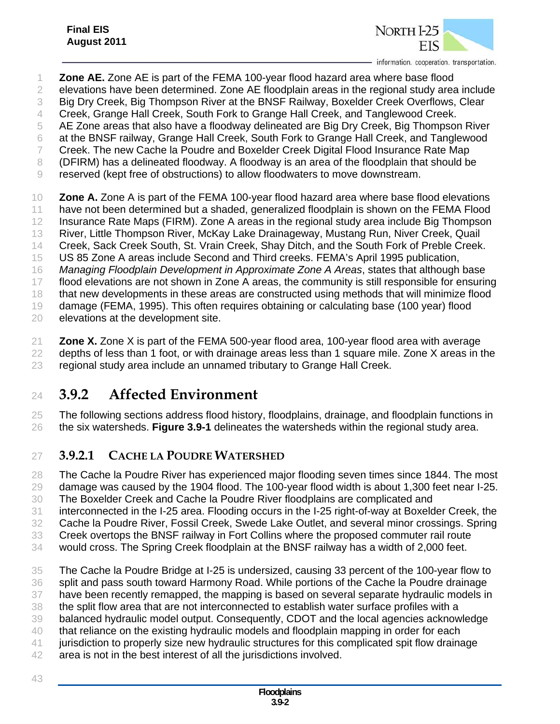

information. cooperation. transportation.

 **Zone AE.** Zone AE is part of the FEMA 100-year flood hazard area where base flood elevations have been determined. Zone AE floodplain areas in the regional study area include Big Dry Creek, Big Thompson River at the BNSF Railway, Boxelder Creek Overflows, Clear Creek, Grange Hall Creek, South Fork to Grange Hall Creek, and Tanglewood Creek. AE Zone areas that also have a floodway delineated are Big Dry Creek, Big Thompson River at the BNSF railway, Grange Hall Creek, South Fork to Grange Hall Creek, and Tanglewood Creek. The new Cache la Poudre and Boxelder Creek Digital Flood Insurance Rate Map (DFIRM) has a delineated floodway. A floodway is an area of the floodplain that should be reserved (kept free of obstructions) to allow floodwaters to move downstream. **Zone A.** Zone A is part of the FEMA 100-year flood hazard area where base flood elevations have not been determined but a shaded, generalized floodplain is shown on the FEMA Flood 12 Insurance Rate Maps (FIRM). Zone A areas in the regional study area include Big Thompson River, Little Thompson River, McKay Lake Drainageway, Mustang Run, Niver Creek, Quail Creek, Sack Creek South, St. Vrain Creek, Shay Ditch, and the South Fork of Preble Creek. US 85 Zone A areas include Second and Third creeks. FEMA's April 1995 publication, *Managing Floodplain Development in Approximate Zone A Areas*, states that although base 17 flood elevations are not shown in Zone A areas, the community is still responsible for ensuring that new developments in these areas are constructed using methods that will minimize flood

damage (FEMA, 1995). This often requires obtaining or calculating base (100 year) flood

elevations at the development site.

 **Zone X.** Zone X is part of the FEMA 500-year flood area, 100-year flood area with average 22 depths of less than 1 foot, or with drainage areas less than 1 square mile. Zone X areas in the regional study area include an unnamed tributary to Grange Hall Creek.

# **3.9.2 Affected Environment**

 The following sections address flood history, floodplains, drainage, and floodplain functions in the six watersheds. **Figure 3.9-1** delineates the watersheds within the regional study area.

**3.9.2.1 CACHE LA POUDRE WATERSHED** 

 The Cache la Poudre River has experienced major flooding seven times since 1844. The most damage was caused by the 1904 flood. The 100-year flood width is about 1,300 feet near I-25.

The Boxelder Creek and Cache la Poudre River floodplains are complicated and

interconnected in the I-25 area. Flooding occurs in the I-25 right-of-way at Boxelder Creek, the

Cache la Poudre River, Fossil Creek, Swede Lake Outlet, and several minor crossings. Spring

Creek overtops the BNSF railway in Fort Collins where the proposed commuter rail route

would cross. The Spring Creek floodplain at the BNSF railway has a width of 2,000 feet.

The Cache la Poudre Bridge at I-25 is undersized, causing 33 percent of the 100-year flow to

split and pass south toward Harmony Road. While portions of the Cache la Poudre drainage

- have been recently remapped, the mapping is based on several separate hydraulic models in
- the split flow area that are not interconnected to establish water surface profiles with a
- balanced hydraulic model output. Consequently, CDOT and the local agencies acknowledge
- that reliance on the existing hydraulic models and floodplain mapping in order for each
- jurisdiction to properly size new hydraulic structures for this complicated spit flow drainage
- area is not in the best interest of all the jurisdictions involved.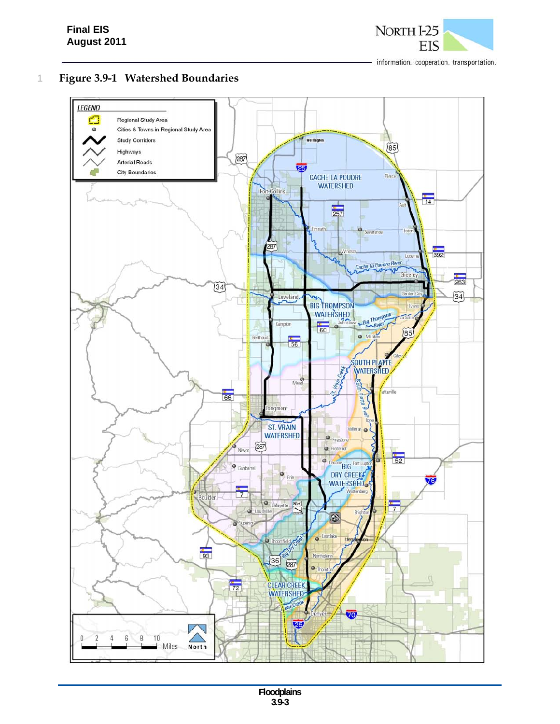

information. cooperation. transportation.



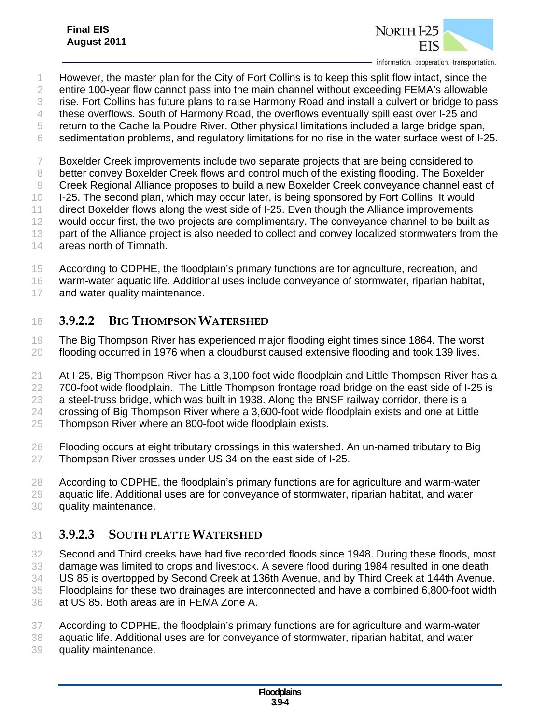

- However, the master plan for the City of Fort Collins is to keep this split flow intact, since the
- entire 100-year flow cannot pass into the main channel without exceeding FEMA's allowable
- rise. Fort Collins has future plans to raise Harmony Road and install a culvert or bridge to pass
- these overflows. South of Harmony Road, the overflows eventually spill east over I-25 and
- return to the Cache la Poudre River. Other physical limitations included a large bridge span,
- sedimentation problems, and regulatory limitations for no rise in the water surface west of I-25.
- Boxelder Creek improvements include two separate projects that are being considered to
- better convey Boxelder Creek flows and control much of the existing flooding. The Boxelder
- Creek Regional Alliance proposes to build a new Boxelder Creek conveyance channel east of
- I-25. The second plan, which may occur later, is being sponsored by Fort Collins. It would
- direct Boxelder flows along the west side of I-25. Even though the Alliance improvements
- 12 would occur first, the two projects are complimentary. The conveyance channel to be built as
- part of the Alliance project is also needed to collect and convey localized stormwaters from the
- areas north of Timnath.
- According to CDPHE, the floodplain's primary functions are for agriculture, recreation, and
- warm-water aquatic life. Additional uses include conveyance of stormwater, riparian habitat,
- 17 and water quality maintenance.
- **3.9.2.2 BIG THOMPSON WATERSHED**
- The Big Thompson River has experienced major flooding eight times since 1864. The worst flooding occurred in 1976 when a cloudburst caused extensive flooding and took 139 lives.
- At I-25, Big Thompson River has a 3,100-foot wide floodplain and Little Thompson River has a
- 22 700-foot wide floodplain. The Little Thompson frontage road bridge on the east side of I-25 is
- a steel-truss bridge, which was built in 1938. Along the BNSF railway corridor, there is a
- crossing of Big Thompson River where a 3,600-foot wide floodplain exists and one at Little
- Thompson River where an 800-foot wide floodplain exists.
- Flooding occurs at eight tributary crossings in this watershed. An un-named tributary to Big Thompson River crosses under US 34 on the east side of I-25.
- According to CDPHE, the floodplain's primary functions are for agriculture and warm-water
- aquatic life. Additional uses are for conveyance of stormwater, riparian habitat, and water quality maintenance.
- 

# **3.9.2.3 SOUTH PLATTE WATERSHED**

- 32 Second and Third creeks have had five recorded floods since 1948. During these floods, most
- damage was limited to crops and livestock. A severe flood during 1984 resulted in one death.
- US 85 is overtopped by Second Creek at 136th Avenue, and by Third Creek at 144th Avenue. Floodplains for these two drainages are interconnected and have a combined 6,800-foot width
- at US 85. Both areas are in FEMA Zone A.
- According to CDPHE, the floodplain's primary functions are for agriculture and warm-water
- aquatic life. Additional uses are for conveyance of stormwater, riparian habitat, and water
- quality maintenance.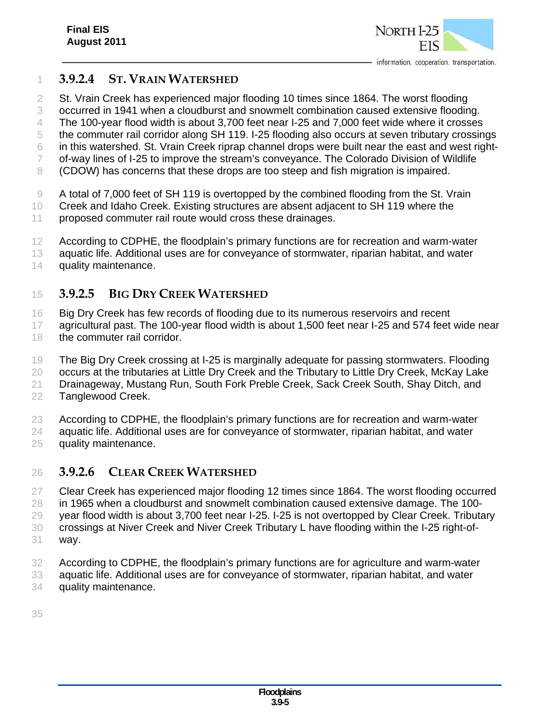

### **3.9.2.4 ST. VRAIN WATERSHED**

St. Vrain Creek has experienced major flooding 10 times since 1864. The worst flooding

occurred in 1941 when a cloudburst and snowmelt combination caused extensive flooding.

4 The 100-year flood width is about 3,700 feet near I-25 and 7,000 feet wide where it crosses

 the commuter rail corridor along SH 119. I-25 flooding also occurs at seven tributary crossings in this watershed. St. Vrain Creek riprap channel drops were built near the east and west right-

- of-way lines of I-25 to improve the stream's conveyance. The Colorado Division of Wildlife
- (CDOW) has concerns that these drops are too steep and fish migration is impaired.

A total of 7,000 feet of SH 119 is overtopped by the combined flooding from the St. Vrain

Creek and Idaho Creek. Existing structures are absent adjacent to SH 119 where the

11 proposed commuter rail route would cross these drainages.

- 12 According to CDPHE, the floodplain's primary functions are for recreation and warm-water
- aquatic life. Additional uses are for conveyance of stormwater, riparian habitat, and water
- 14 quality maintenance.

# **3.9.2.5 BIG DRY CREEK WATERSHED**

- Big Dry Creek has few records of flooding due to its numerous reservoirs and recent
- agricultural past. The 100-year flood width is about 1,500 feet near I-25 and 574 feet wide near 18 the commuter rail corridor.
- The Big Dry Creek crossing at I-25 is marginally adequate for passing stormwaters. Flooding
- 20 occurs at the tributaries at Little Dry Creek and the Tributary to Little Dry Creek, McKay Lake
- Drainageway, Mustang Run, South Fork Preble Creek, Sack Creek South, Shay Ditch, and
- Tanglewood Creek.
- According to CDPHE, the floodplain's primary functions are for recreation and warm-water
- aquatic life. Additional uses are for conveyance of stormwater, riparian habitat, and water
- quality maintenance.

## **3.9.2.6 CLEAR CREEK WATERSHED**

- Clear Creek has experienced major flooding 12 times since 1864. The worst flooding occurred in 1965 when a cloudburst and snowmelt combination caused extensive damage. The 100- year flood width is about 3,700 feet near I-25. I-25 is not overtopped by Clear Creek. Tributary crossings at Niver Creek and Niver Creek Tributary L have flooding within the I-25 right-of-way.
- According to CDPHE, the floodplain's primary functions are for agriculture and warm-water
- aquatic life. Additional uses are for conveyance of stormwater, riparian habitat, and water
- quality maintenance.
-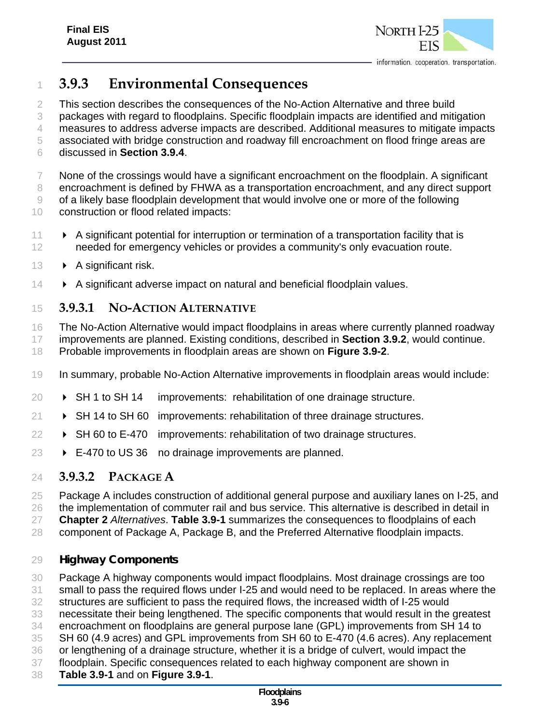

# **3.9.3 Environmental Consequences**

2 This section describes the consequences of the No-Action Alternative and three build packages with regard to floodplains. Specific floodplain impacts are identified and mitigation measures to address adverse impacts are described. Additional measures to mitigate impacts associated with bridge construction and roadway fill encroachment on flood fringe areas are discussed in **Section 3.9.4**.

 None of the crossings would have a significant encroachment on the floodplain. A significant encroachment is defined by FHWA as a transportation encroachment, and any direct support of a likely base floodplain development that would involve one or more of the following construction or flood related impacts:

- **A** significant potential for interruption or termination of a transportation facility that is needed for emergency vehicles or provides a community's only evacuation route.
- 13  $\rightarrow$  A significant risk.
- **A** significant adverse impact on natural and beneficial floodplain values.

# **3.9.3.1 NO-ACTION ALTERNATIVE**

 The No-Action Alternative would impact floodplains in areas where currently planned roadway improvements are planned. Existing conditions, described in **Section 3.9.2**, would continue. Probable improvements in floodplain areas are shown on **Figure 3.9-2**.

- In summary, probable No-Action Alternative improvements in floodplain areas would include:
- **SH 1 to SH 14** improvements: rehabilitation of one drainage structure.
- **→** SH 14 to SH 60 improvements: rehabilitation of three drainage structures.
- $22 \rightarrow$  SH 60 to E-470 improvements: rehabilitation of two drainage structures.
- **► E-470 to US 36** no drainage improvements are planned.

# **3.9.3.2 PACKAGE A**

Package A includes construction of additional general purpose and auxiliary lanes on I-25, and

26 the implementation of commuter rail and bus service. This alternative is described in detail in

- **Chapter 2** *Alternatives*. **Table 3.9-1** summarizes the consequences to floodplains of each
- component of Package A, Package B, and the Preferred Alternative floodplain impacts.

#### *Highway Components*

- Package A highway components would impact floodplains. Most drainage crossings are too
- small to pass the required flows under I-25 and would need to be replaced. In areas where the
- structures are sufficient to pass the required flows, the increased width of I-25 would
- necessitate their being lengthened. The specific components that would result in the greatest
- encroachment on floodplains are general purpose lane (GPL) improvements from SH 14 to
- SH 60 (4.9 acres) and GPL improvements from SH 60 to E-470 (4.6 acres). Any replacement
- or lengthening of a drainage structure, whether it is a bridge of culvert, would impact the
- floodplain. Specific consequences related to each highway component are shown in
- **Table 3.9-1** and on **Figure 3.9-1**.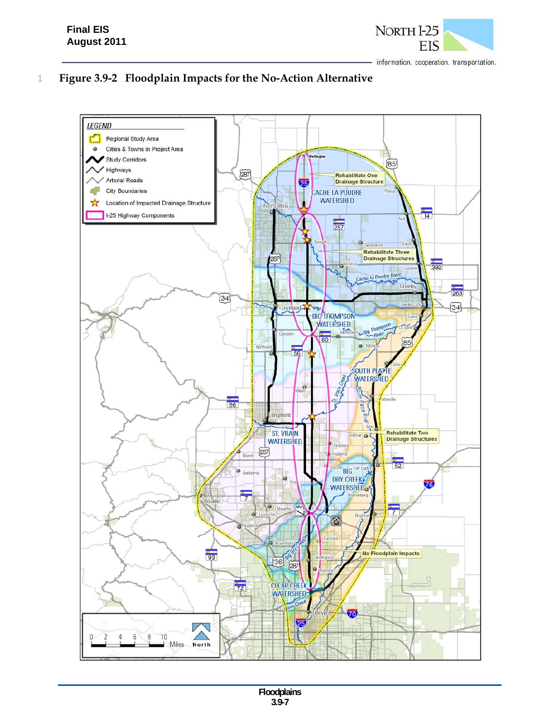

information. cooperation. transportation.

# 1 **Figure 3.9-2 Floodplain Impacts for the No-Action Alternative**

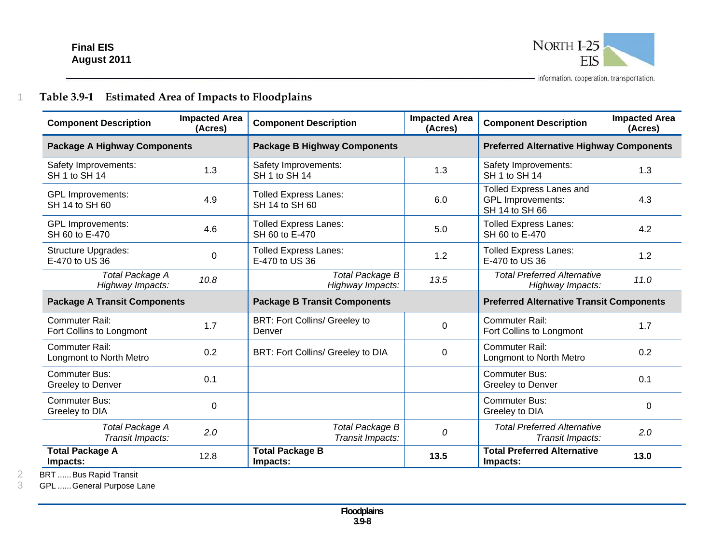1



# **Table 3.9-1 Estimated Area of Impacts to Floodplains**

| <b>Component Description</b>                     | <b>Impacted Area</b><br>(Acres) | <b>Component Description</b>                   | <b>Impacted Area</b><br>(Acres) | <b>Component Description</b>                                                  | <b>Impacted Area</b><br>(Acres) |
|--------------------------------------------------|---------------------------------|------------------------------------------------|---------------------------------|-------------------------------------------------------------------------------|---------------------------------|
| <b>Package A Highway Components</b>              |                                 | <b>Package B Highway Components</b>            |                                 | <b>Preferred Alternative Highway Components</b>                               |                                 |
| Safety Improvements:<br>SH 1 to SH 14            | 1.3                             | Safety Improvements:<br>SH 1 to SH 14          | 1.3                             | Safety Improvements:<br>SH 1 to SH 14                                         | 1.3                             |
| <b>GPL Improvements:</b><br>SH 14 to SH 60       | 4.9                             | <b>Tolled Express Lanes:</b><br>SH 14 to SH 60 | 6.0                             | <b>Tolled Express Lanes and</b><br><b>GPL Improvements:</b><br>SH 14 to SH 66 | 4.3                             |
| <b>GPL Improvements:</b><br>SH 60 to E-470       | 4.6                             | <b>Tolled Express Lanes:</b><br>SH 60 to E-470 | 5.0                             | <b>Tolled Express Lanes:</b><br>SH 60 to E-470                                | 4.2                             |
| <b>Structure Upgrades:</b><br>E-470 to US 36     | 0                               | <b>Tolled Express Lanes:</b><br>E-470 to US 36 | 1.2                             | <b>Tolled Express Lanes:</b><br>E-470 to US 36                                | 1.2                             |
| Total Package A<br>Highway Impacts:              | 10.8                            | <b>Total Package B</b><br>Highway Impacts:     | 13.5                            | <b>Total Preferred Alternative</b><br>Highway Impacts:                        | 11.0                            |
| <b>Package A Transit Components</b>              |                                 | <b>Package B Transit Components</b>            |                                 | <b>Preferred Alternative Transit Components</b>                               |                                 |
| Commuter Rail:<br>Fort Collins to Longmont       | 1.7                             | <b>BRT: Fort Collins/ Greeley to</b><br>Denver | 0                               | Commuter Rail:<br>Fort Collins to Longmont                                    | 1.7                             |
| <b>Commuter Rail:</b><br>Longmont to North Metro | 0.2                             | BRT: Fort Collins/ Greeley to DIA              | 0                               | <b>Commuter Rail:</b><br>Longmont to North Metro                              | 0.2                             |
| <b>Commuter Bus:</b><br>Greeley to Denver        | 0.1                             |                                                |                                 | <b>Commuter Bus:</b><br>Greeley to Denver                                     | 0.1                             |
| <b>Commuter Bus:</b><br>Greeley to DIA           | $\boldsymbol{0}$                |                                                |                                 | <b>Commuter Bus:</b><br>Greeley to DIA                                        | $\Omega$                        |
| <b>Total Package A</b><br>Transit Impacts:       | 2.0                             | <b>Total Package B</b><br>Transit Impacts:     | 0                               | <b>Total Preferred Alternative</b><br>Transit Impacts:                        | 2.0                             |
| <b>Total Package A</b><br>Impacts:               | 12.8                            | <b>Total Package B</b><br>Impacts:             | 13.5                            | <b>Total Preferred Alternative</b><br>Impacts:                                | 13.0                            |

BRT ...... Bus Rapid Transit

2

3

GPL ...... General Purpose Lane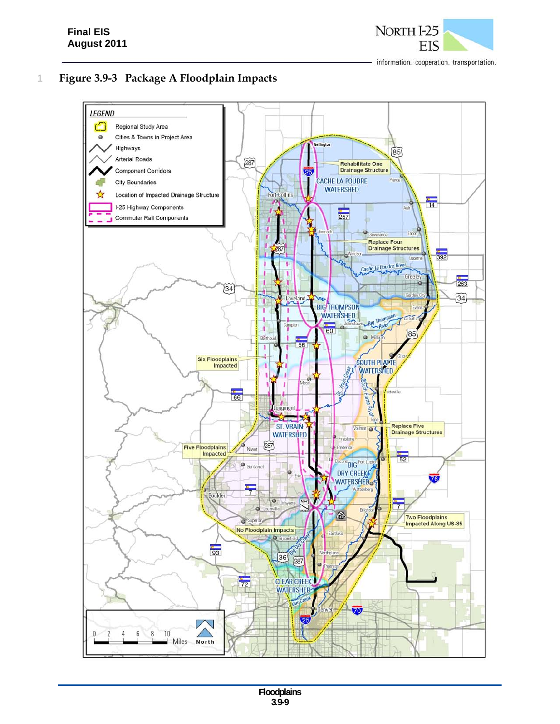

information. cooperation. transportation.

# 1 **Figure 3.9-3 Package A Floodplain Impacts**

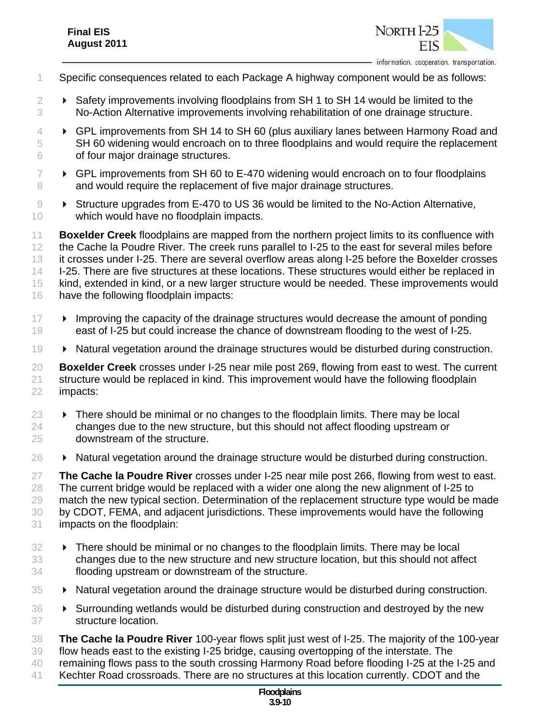

- Specific consequences related to each Package A highway component would be as follows:
- $2 \rightarrow$  Safety improvements involving floodplains from SH 1 to SH 14 would be limited to the No-Action Alternative improvements involving rehabilitation of one drainage structure.
- **→ GPL improvements from SH 14 to SH 60 (plus auxiliary lanes between Harmony Road and** 5 SH 60 widening would encroach on to three floodplains and would require the replacement of four major drainage structures.
- $7 \rightarrow$  GPL improvements from SH 60 to E-470 widening would encroach on to four floodplains 8 and would require the replacement of five major drainage structures.
- 9  **Structure upgrades from E-470 to US 36 would be limited to the No-Action Alternative,** which would have no floodplain impacts.

 **Boxelder Creek** floodplains are mapped from the northern project limits to its confluence with 12 the Cache la Poudre River. The creek runs parallel to I-25 to the east for several miles before it crosses under I-25. There are several overflow areas along I-25 before the Boxelder crosses 14 I-25. There are five structures at these locations. These structures would either be replaced in kind, extended in kind, or a new larger structure would be needed. These improvements would have the following floodplain impacts:

- **IMP** Improving the capacity of the drainage structures would decrease the amount of ponding east of I-25 but could increase the chance of downstream flooding to the west of I-25.
- Natural vegetation around the drainage structures would be disturbed during construction.

 **Boxelder Creek** crosses under I-25 near mile post 269, flowing from east to west. The current structure would be replaced in kind. This improvement would have the following floodplain impacts:

- $23 \rightarrow$  There should be minimal or no changes to the floodplain limits. There may be local changes due to the new structure, but this should not affect flooding upstream or downstream of the structure.
- $26 \rightarrow$  Natural vegetation around the drainage structure would be disturbed during construction.

 **The Cache la Poudre River** crosses under I-25 near mile post 266, flowing from west to east. The current bridge would be replaced with a wider one along the new alignment of I-25 to match the new typical section. Determination of the replacement structure type would be made by CDOT, FEMA, and adjacent jurisdictions. These improvements would have the following impacts on the floodplain:

- There should be minimal or no changes to the floodplain limits. There may be local changes due to the new structure and new structure location, but this should not affect flooding upstream or downstream of the structure.
- Natural vegetation around the drainage structure would be disturbed during construction.
- Surrounding wetlands would be disturbed during construction and destroyed by the new structure location.

 **The Cache la Poudre River** 100-year flows split just west of I-25. The majority of the 100-year flow heads east to the existing I-25 bridge, causing overtopping of the interstate. The

- remaining flows pass to the south crossing Harmony Road before flooding I-25 at the I-25 and Kechter Road crossroads. There are no structures at this location currently. CDOT and the
	- **Floodplains 3.9-10**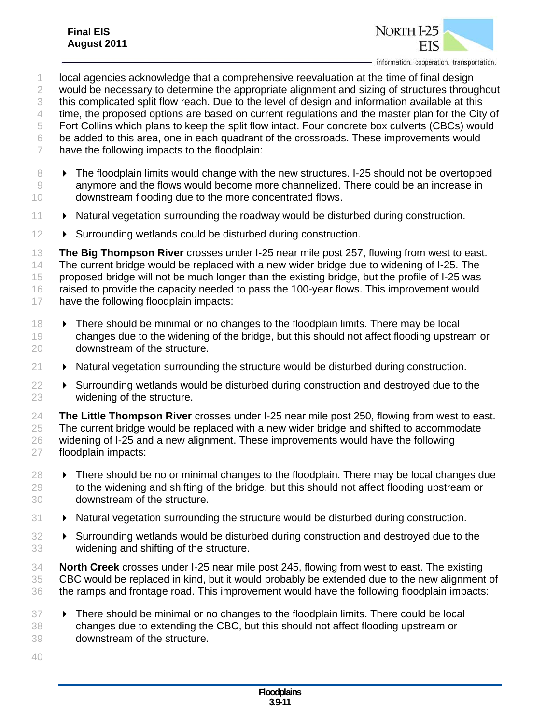information. cooperation. transportation.

- local agencies acknowledge that a comprehensive reevaluation at the time of final design
- would be necessary to determine the appropriate alignment and sizing of structures throughout
- this complicated split flow reach. Due to the level of design and information available at this
- time, the proposed options are based on current regulations and the master plan for the City of
- Fort Collins which plans to keep the split flow intact. Four concrete box culverts (CBCs) would
- be added to this area, one in each quadrant of the crossroads. These improvements would
- have the following impacts to the floodplain:
- 8 **The floodplain limits would change with the new structures. I-25 should not be overtopped**  anymore and the flows would become more channelized. There could be an increase in downstream flooding due to the more concentrated flows.
- 11 > Natural vegetation surrounding the roadway would be disturbed during construction.
- **B** Surrounding wetlands could be disturbed during construction.
- **The Big Thompson River** crosses under I-25 near mile post 257, flowing from west to east. 14 The current bridge would be replaced with a new wider bridge due to widening of I-25. The 15 proposed bridge will not be much longer than the existing bridge, but the profile of I-25 was raised to provide the capacity needed to pass the 100-year flows. This improvement would have the following floodplain impacts:
- There should be minimal or no changes to the floodplain limits. There may be local 19 changes due to the widening of the bridge, but this should not affect flooding upstream or downstream of the structure.
- $21 \rightarrow$  Natural vegetation surrounding the structure would be disturbed during construction.
- $22 \rightarrow$  Surrounding wetlands would be disturbed during construction and destroyed due to the widening of the structure.
- **The Little Thompson River** crosses under I-25 near mile post 250, flowing from west to east. The current bridge would be replaced with a new wider bridge and shifted to accommodate widening of I-25 and a new alignment. These improvements would have the following floodplain impacts:
- $28 \rightarrow$  There should be no or minimal changes to the floodplain. There may be local changes due 29 to the widening and shifting of the bridge, but this should not affect flooding upstream or downstream of the structure.
- **Natural vegetation surrounding the structure would be disturbed during construction.**
- **EX** Surrounding wetlands would be disturbed during construction and destroyed due to the widening and shifting of the structure.
- **North Creek** crosses under I-25 near mile post 245, flowing from west to east. The existing CBC would be replaced in kind, but it would probably be extended due to the new alignment of the ramps and frontage road. This improvement would have the following floodplain impacts:
- There should be minimal or no changes to the floodplain limits. There could be local changes due to extending the CBC, but this should not affect flooding upstream or downstream of the structure.
-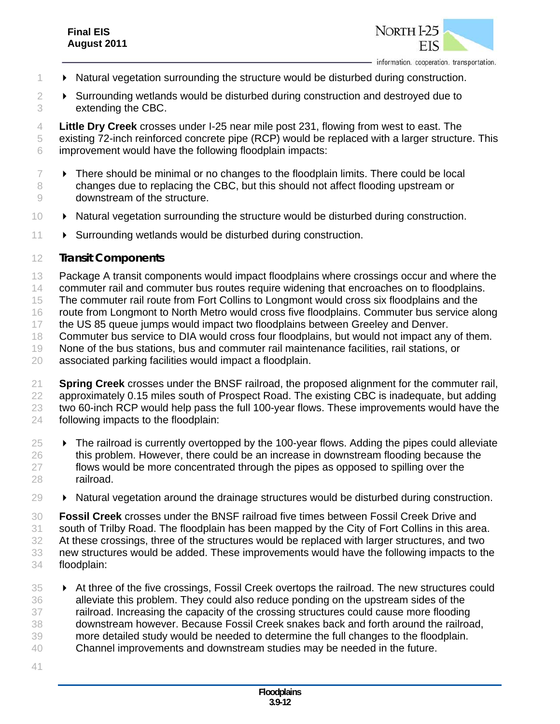

- 1 > Natural vegetation surrounding the structure would be disturbed during construction.
- $2 \rightarrow$  Surrounding wetlands would be disturbed during construction and destroyed due to extending the CBC.

 **Little Dry Creek** crosses under I-25 near mile post 231, flowing from west to east. The existing 72-inch reinforced concrete pipe (RCP) would be replaced with a larger structure. This improvement would have the following floodplain impacts:

- $7 \rightarrow$  There should be minimal or no changes to the floodplain limits. There could be local 8 changes due to replacing the CBC, but this should not affect flooding upstream or downstream of the structure.
- Natural vegetation surrounding the structure would be disturbed during construction.
- 11 > Surrounding wetlands would be disturbed during construction.

#### *Transit Components*

- 13 Package A transit components would impact floodplains where crossings occur and where the
- commuter rail and commuter bus routes require widening that encroaches on to floodplains.
- The commuter rail route from Fort Collins to Longmont would cross six floodplains and the
- 16 route from Longmont to North Metro would cross five floodplains. Commuter bus service along
- the US 85 queue jumps would impact two floodplains between Greeley and Denver.
- Commuter bus service to DIA would cross four floodplains, but would not impact any of them.
- None of the bus stations, bus and commuter rail maintenance facilities, rail stations, or
- associated parking facilities would impact a floodplain.
- **Spring Creek** crosses under the BNSF railroad, the proposed alignment for the commuter rail, 22 approximately 0.15 miles south of Prospect Road. The existing CBC is inadequate, but adding two 60-inch RCP would help pass the full 100-year flows. These improvements would have the following impacts to the floodplain:
- $25 \rightarrow$  The railroad is currently overtopped by the 100-year flows. Adding the pipes could alleviate this problem. However, there could be an increase in downstream flooding because the flows would be more concentrated through the pipes as opposed to spilling over the railroad.
- $29 \rightarrow$  Natural vegetation around the drainage structures would be disturbed during construction.
- **Fossil Creek** crosses under the BNSF railroad five times between Fossil Creek Drive and south of Trilby Road. The floodplain has been mapped by the City of Fort Collins in this area. At these crossings, three of the structures would be replaced with larger structures, and two new structures would be added. These improvements would have the following impacts to the floodplain:
- 35 At three of the five crossings, Fossil Creek overtops the railroad. The new structures could alleviate this problem. They could also reduce ponding on the upstream sides of the railroad. Increasing the capacity of the crossing structures could cause more flooding downstream however. Because Fossil Creek snakes back and forth around the railroad, more detailed study would be needed to determine the full changes to the floodplain. Channel improvements and downstream studies may be needed in the future.
-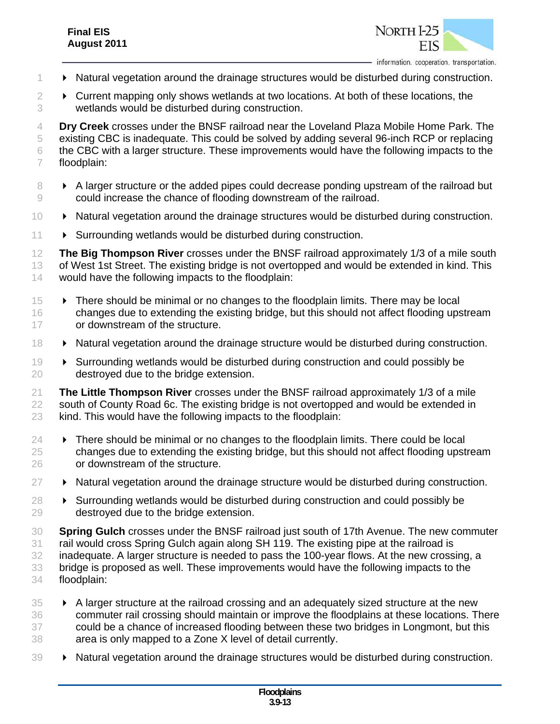- 1  **Natural vegetation around the drainage structures would be disturbed during construction.**
- 2  $\rightarrow$  Current mapping only shows wetlands at two locations. At both of these locations, the wetlands would be disturbed during construction.

 **Dry Creek** crosses under the BNSF railroad near the Loveland Plaza Mobile Home Park. The existing CBC is inadequate. This could be solved by adding several 96-inch RCP or replacing the CBC with a larger structure. These improvements would have the following impacts to the floodplain:

- **A** larger structure or the added pipes could decrease ponding upstream of the railroad but could increase the chance of flooding downstream of the railroad.
- Natural vegetation around the drainage structures would be disturbed during construction.
- 11 > Surrounding wetlands would be disturbed during construction.

 **The Big Thompson River** crosses under the BNSF railroad approximately 1/3 of a mile south of West 1st Street. The existing bridge is not overtopped and would be extended in kind. This would have the following impacts to the floodplain:

- There should be minimal or no changes to the floodplain limits. There may be local 16 changes due to extending the existing bridge, but this should not affect flooding upstream 17 or downstream of the structure.
- **Natural vegetation around the drainage structure would be disturbed during construction.**
- 19 Surrounding wetlands would be disturbed during construction and could possibly be destroyed due to the bridge extension.

 **The Little Thompson River** crosses under the BNSF railroad approximately 1/3 of a mile 22 south of County Road 6c. The existing bridge is not overtopped and would be extended in kind. This would have the following impacts to the floodplain:

- $24 \rightarrow$  There should be minimal or no changes to the floodplain limits. There could be local changes due to extending the existing bridge, but this should not affect flooding upstream or downstream of the structure.
- $27 \rightarrow$  Natural vegetation around the drainage structure would be disturbed during construction.
- $\rightarrow$  Surrounding wetlands would be disturbed during construction and could possibly be destroyed due to the bridge extension.
- **Spring Gulch** crosses under the BNSF railroad just south of 17th Avenue. The new commuter rail would cross Spring Gulch again along SH 119. The existing pipe at the railroad is inadequate. A larger structure is needed to pass the 100-year flows. At the new crossing, a bridge is proposed as well. These improvements would have the following impacts to the floodplain:
- $\rightarrow$  A larger structure at the railroad crossing and an adequately sized structure at the new commuter rail crossing should maintain or improve the floodplains at these locations. There could be a chance of increased flooding between these two bridges in Longmont, but this area is only mapped to a Zone X level of detail currently.
- 39 > Natural vegetation around the drainage structures would be disturbed during construction.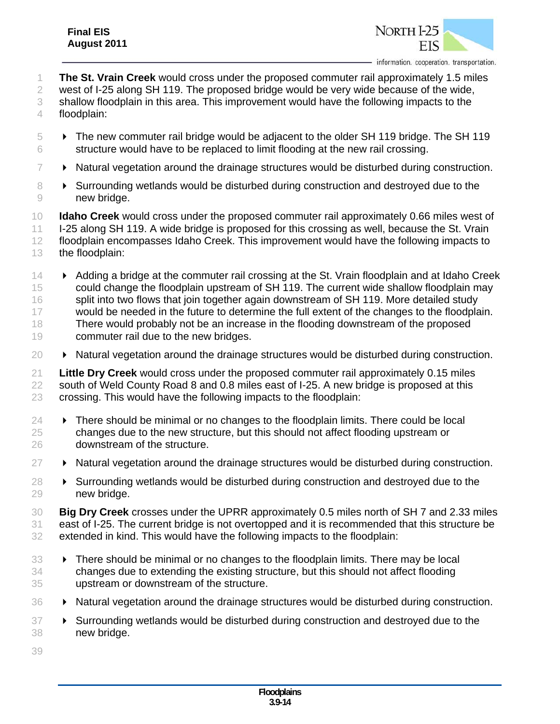

- **The St. Vrain Creek** would cross under the proposed commuter rail approximately 1.5 miles
- west of I-25 along SH 119. The proposed bridge would be very wide because of the wide,
- shallow floodplain in this area. This improvement would have the following impacts to the
- floodplain:
- The new commuter rail bridge would be adjacent to the older SH 119 bridge. The SH 119 structure would have to be replaced to limit flooding at the new rail crossing.
- $7 \rightarrow$  Natural vegetation around the drainage structures would be disturbed during construction.
- **EX** Surrounding wetlands would be disturbed during construction and destroyed due to the new bridge.
- **Idaho Creek** would cross under the proposed commuter rail approximately 0.66 miles west of I-25 along SH 119. A wide bridge is proposed for this crossing as well, because the St. Vrain floodplain encompasses Idaho Creek. This improvement would have the following impacts to the floodplain:
- 14 > Adding a bridge at the commuter rail crossing at the St. Vrain floodplain and at Idaho Creek could change the floodplain upstream of SH 119. The current wide shallow floodplain may 16 split into two flows that join together again downstream of SH 119. More detailed study 17 would be needed in the future to determine the full extent of the changes to the floodplain. There would probably not be an increase in the flooding downstream of the proposed commuter rail due to the new bridges.
- **Natural vegetation around the drainage structures would be disturbed during construction.**

 **Little Dry Creek** would cross under the proposed commuter rail approximately 0.15 miles south of Weld County Road 8 and 0.8 miles east of I-25. A new bridge is proposed at this crossing. This would have the following impacts to the floodplain:

- $24 \rightarrow$  There should be minimal or no changes to the floodplain limits. There could be local changes due to the new structure, but this should not affect flooding upstream or downstream of the structure.
- $27 \rightarrow$  Natural vegetation around the drainage structures would be disturbed during construction.
- 28 > Surrounding wetlands would be disturbed during construction and destroyed due to the new bridge.
- **Big Dry Creek** crosses under the UPRR approximately 0.5 miles north of SH 7 and 2.33 miles east of I-25. The current bridge is not overtopped and it is recommended that this structure be extended in kind. This would have the following impacts to the floodplain:
- There should be minimal or no changes to the floodplain limits. There may be local changes due to extending the existing structure, but this should not affect flooding upstream or downstream of the structure.
- 36 > Natural vegetation around the drainage structures would be disturbed during construction.
- **EX** Surrounding wetlands would be disturbed during construction and destroyed due to the new bridge.
-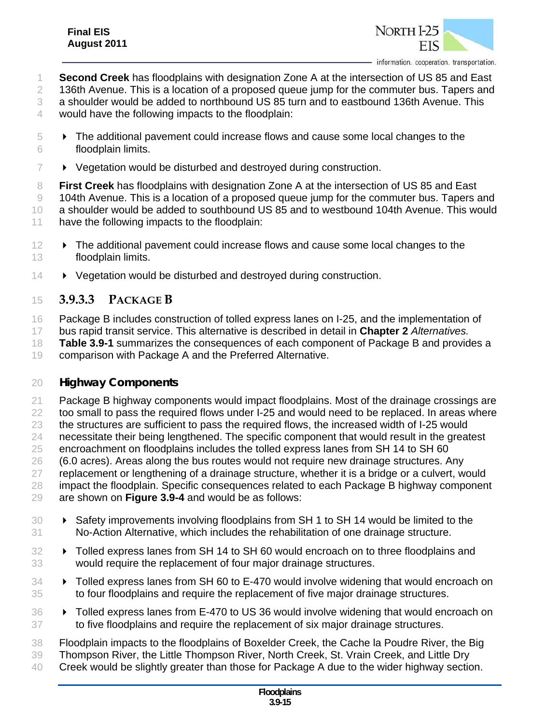

**Second Creek** has floodplains with designation Zone A at the intersection of US 85 and East

2 136th Avenue. This is a location of a proposed queue jump for the commuter bus. Tapers and

a shoulder would be added to northbound US 85 turn and to eastbound 136th Avenue. This

would have the following impacts to the floodplain:

- $5 \rightarrow$  The additional pavement could increase flows and cause some local changes to the floodplain limits.
- Vegetation would be disturbed and destroyed during construction.

 **First Creek** has floodplains with designation Zone A at the intersection of US 85 and East 104th Avenue. This is a location of a proposed queue jump for the commuter bus. Tapers and a shoulder would be added to southbound US 85 and to westbound 104th Avenue. This would have the following impacts to the floodplain:

- The additional pavement could increase flows and cause some local changes to the floodplain limits.
- 14 Vegetation would be disturbed and destroyed during construction.

# **3.9.3.3 PACKAGE B**

Package B includes construction of tolled express lanes on I-25, and the implementation of

- bus rapid transit service. This alternative is described in detail in **Chapter 2** *Alternatives.*
- **Table 3.9-1** summarizes the consequences of each component of Package B and provides a
- comparison with Package A and the Preferred Alternative.

#### *Highway Components*

 Package B highway components would impact floodplains. Most of the drainage crossings are too small to pass the required flows under I-25 and would need to be replaced. In areas where the structures are sufficient to pass the required flows, the increased width of I-25 would 24 necessitate their being lengthened. The specific component that would result in the greatest encroachment on floodplains includes the tolled express lanes from SH 14 to SH 60 (6.0 acres). Areas along the bus routes would not require new drainage structures. Any 27 replacement or lengthening of a drainage structure, whether it is a bridge or a culvert, would impact the floodplain. Specific consequences related to each Package B highway component are shown on **Figure 3.9-4** and would be as follows:

- **EX** Safety improvements involving floodplains from SH 1 to SH 14 would be limited to the No-Action Alternative, which includes the rehabilitation of one drainage structure.
- **Folled express lanes from SH 14 to SH 60 would encroach on to three floodplains and** would require the replacement of four major drainage structures.
- Tolled express lanes from SH 60 to E-470 would involve widening that would encroach on to four floodplains and require the replacement of five major drainage structures.
- Tolled express lanes from E-470 to US 36 would involve widening that would encroach on to five floodplains and require the replacement of six major drainage structures.
- Floodplain impacts to the floodplains of Boxelder Creek, the Cache la Poudre River, the Big
- Thompson River, the Little Thompson River, North Creek, St. Vrain Creek, and Little Dry
- Creek would be slightly greater than those for Package A due to the wider highway section.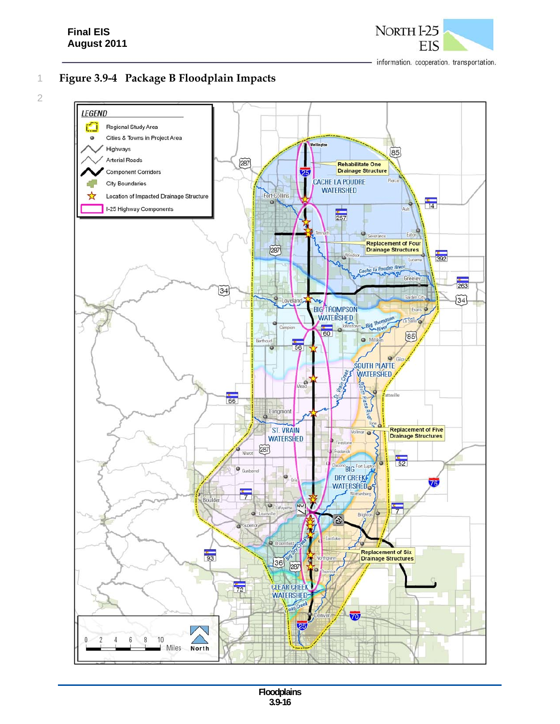

information. cooperation. transportation.

2

1 **Figure 3.9-4 Package B Floodplain Impacts** 

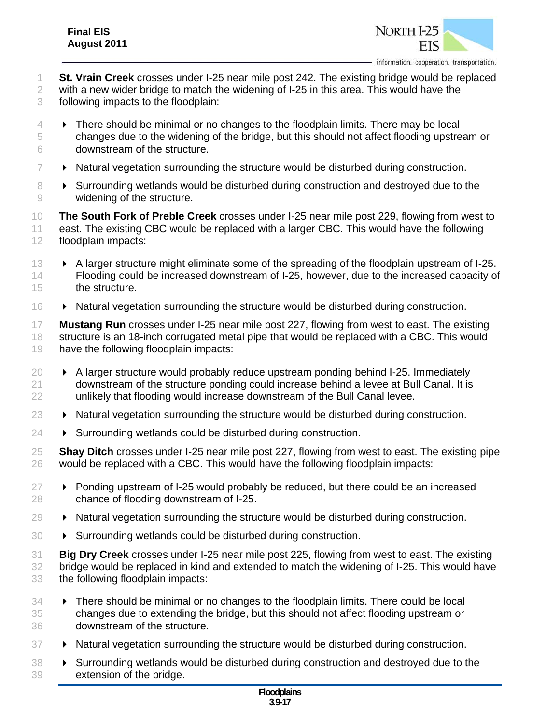

- 1 **St. Vrain Creek** crosses under I-25 near mile post 242. The existing bridge would be replaced
- 2 with a new wider bridge to match the widening of I-25 in this area. This would have the

3 following impacts to the floodplain:

- $4 \rightarrow$  There should be minimal or no changes to the floodplain limits. There may be local 5 changes due to the widening of the bridge, but this should not affect flooding upstream or 6 downstream of the structure.
- $7 \rightarrow$  Natural vegetation surrounding the structure would be disturbed during construction.
- 8 > Surrounding wetlands would be disturbed during construction and destroyed due to the 9 widening of the structure.

10 **The South Fork of Preble Creek** crosses under I-25 near mile post 229, flowing from west to 11 east. The existing CBC would be replaced with a larger CBC. This would have the following 12 floodplain impacts:

- 13 A larger structure might eliminate some of the spreading of the floodplain upstream of I-25. 14 Flooding could be increased downstream of I-25, however, due to the increased capacity of 15 the structure.
- 16 > Natural vegetation surrounding the structure would be disturbed during construction.

17 **Mustang Run** crosses under I-25 near mile post 227, flowing from west to east. The existing 18 structure is an 18-inch corrugated metal pipe that would be replaced with a CBC. This would 19 have the following floodplain impacts:

- $20 \rightarrow A$  larger structure would probably reduce upstream ponding behind I-25. Immediately 21 downstream of the structure ponding could increase behind a levee at Bull Canal. It is 22 unlikely that flooding would increase downstream of the Bull Canal levee.
- $23 \rightarrow$  Natural vegetation surrounding the structure would be disturbed during construction.
- $24 \rightarrow$  Surrounding wetlands could be disturbed during construction.
- 25 **Shay Ditch** crosses under I-25 near mile post 227, flowing from west to east. The existing pipe 26 would be replaced with a CBC. This would have the following floodplain impacts:
- $27 \rightarrow$  Ponding upstream of I-25 would probably be reduced, but there could be an increased 28 chance of flooding downstream of I-25.
- 29 > Natural vegetation surrounding the structure would be disturbed during construction.
- 30 Surrounding wetlands could be disturbed during construction.
- 31 **Big Dry Creek** crosses under I-25 near mile post 225, flowing from west to east. The existing 32 bridge would be replaced in kind and extended to match the widening of I-25. This would have 33 the following floodplain impacts:
- 34 > There should be minimal or no changes to the floodplain limits. There could be local 35 changes due to extending the bridge, but this should not affect flooding upstream or 36 downstream of the structure.
- 37 **EX** Natural vegetation surrounding the structure would be disturbed during construction.
- 38 > Surrounding wetlands would be disturbed during construction and destroyed due to the 39 extension of the bridge.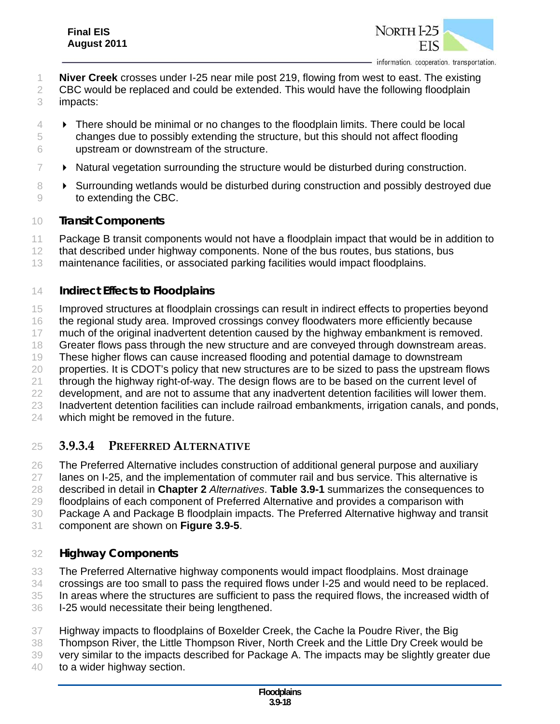

- **Niver Creek** crosses under I-25 near mile post 219, flowing from west to east. The existing
- CBC would be replaced and could be extended. This would have the following floodplain
- impacts:
- **EXECT** There should be minimal or no changes to the floodplain limits. There could be local changes due to possibly extending the structure, but this should not affect flooding upstream or downstream of the structure.
- $7 \rightarrow$  Natural vegetation surrounding the structure would be disturbed during construction.
- 8 > Surrounding wetlands would be disturbed during construction and possibly destroyed due to extending the CBC.
- *Transit Components*
- 11 Package B transit components would not have a floodplain impact that would be in addition to
- 12 that described under highway components. None of the bus routes, bus stations, bus
- maintenance facilities, or associated parking facilities would impact floodplains.
- *Indirect Effects to Floodplains*
- Improved structures at floodplain crossings can result in indirect effects to properties beyond
- 16 the regional study area. Improved crossings convey floodwaters more efficiently because
- 17 much of the original inadvertent detention caused by the highway embankment is removed.
- Greater flows pass through the new structure and are conveyed through downstream areas.
- These higher flows can cause increased flooding and potential damage to downstream
- properties. It is CDOT's policy that new structures are to be sized to pass the upstream flows
- through the highway right-of-way. The design flows are to be based on the current level of development, and are not to assume that any inadvertent detention facilities will lower them.
- Inadvertent detention facilities can include railroad embankments, irrigation canals, and ponds,
- which might be removed in the future.

# **3.9.3.4 PREFERRED ALTERNATIVE**

- The Preferred Alternative includes construction of additional general purpose and auxiliary
- 27 lanes on I-25, and the implementation of commuter rail and bus service. This alternative is
- described in detail in **Chapter 2** *Alternatives*. **Table 3.9-1** summarizes the consequences to
- floodplains of each component of Preferred Alternative and provides a comparison with
- Package A and Package B floodplain impacts. The Preferred Alternative highway and transit
- component are shown on **Figure 3.9-5**.
- *Highway Components*
- The Preferred Alternative highway components would impact floodplains. Most drainage
- crossings are too small to pass the required flows under I-25 and would need to be replaced.
- In areas where the structures are sufficient to pass the required flows, the increased width of
- I-25 would necessitate their being lengthened.
- Highway impacts to floodplains of Boxelder Creek, the Cache la Poudre River, the Big
- Thompson River, the Little Thompson River, North Creek and the Little Dry Creek would be
- very similar to the impacts described for Package A. The impacts may be slightly greater due
- to a wider highway section.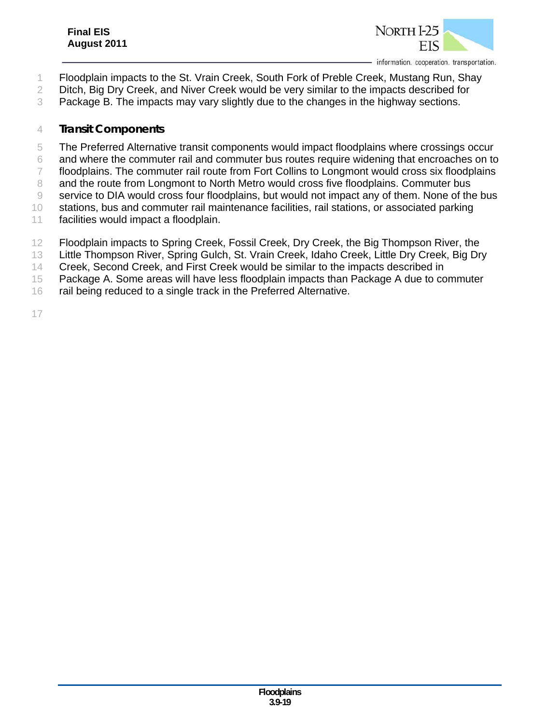

information. cooperation. transportation.

- Floodplain impacts to the St. Vrain Creek, South Fork of Preble Creek, Mustang Run, Shay
- Ditch, Big Dry Creek, and Niver Creek would be very similar to the impacts described for
- Package B. The impacts may vary slightly due to the changes in the highway sections.

### *Transit Components*

- The Preferred Alternative transit components would impact floodplains where crossings occur
- and where the commuter rail and commuter bus routes require widening that encroaches on to
- floodplains. The commuter rail route from Fort Collins to Longmont would cross six floodplains
- 8 and the route from Longmont to North Metro would cross five floodplains. Commuter bus
- service to DIA would cross four floodplains, but would not impact any of them. None of the bus
- stations, bus and commuter rail maintenance facilities, rail stations, or associated parking
- facilities would impact a floodplain.
- Floodplain impacts to Spring Creek, Fossil Creek, Dry Creek, the Big Thompson River, the
- Little Thompson River, Spring Gulch, St. Vrain Creek, Idaho Creek, Little Dry Creek, Big Dry
- Creek, Second Creek, and First Creek would be similar to the impacts described in
- Package A. Some areas will have less floodplain impacts than Package A due to commuter
- 16 rail being reduced to a single track in the Preferred Alternative.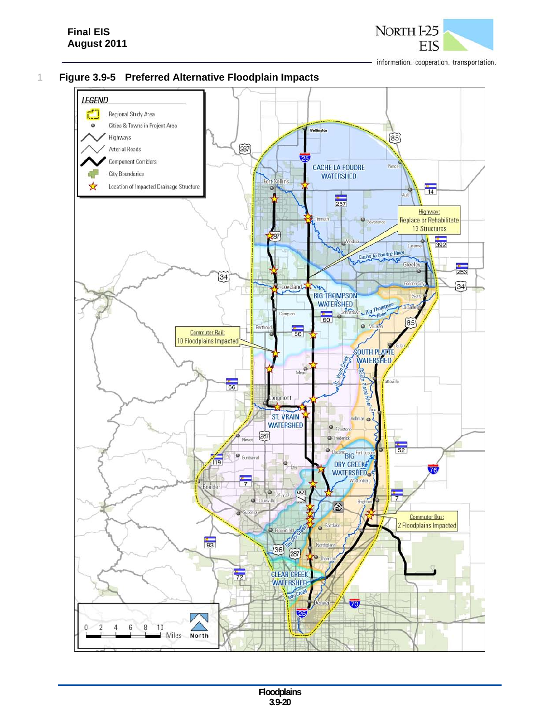

information. cooperation. transportation.

#### 1 **Figure 3.9-5 Preferred Alternative Floodplain Impacts**

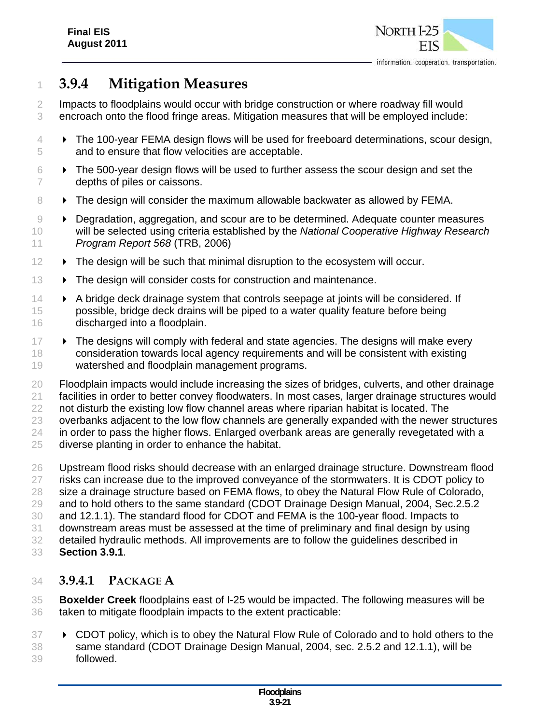

# **3.9.4 Mitigation Measures**

 Impacts to floodplains would occur with bridge construction or where roadway fill would encroach onto the flood fringe areas. Mitigation measures that will be employed include:

- The 100-year FEMA design flows will be used for freeboard determinations, scour design, and to ensure that flow velocities are acceptable.
- $6 \rightarrow$  The 500-year design flows will be used to further assess the scour design and set the depths of piles or caissons.
- 8 **The design will consider the maximum allowable backwater as allowed by FEMA.**
- Degradation, aggregation, and scour are to be determined. Adequate counter measures will be selected using criteria established by the *National Cooperative Highway Research Program Report 568* (TRB, 2006)
- $12 \rightarrow$  The design will be such that minimal disruption to the ecosystem will occur.
- **The design will consider costs for construction and maintenance.**
- $14 \rightarrow A$  bridge deck drainage system that controls seepage at joints will be considered. If possible, bridge deck drains will be piped to a water quality feature before being discharged into a floodplain.
- $17 \rightarrow$  The designs will comply with federal and state agencies. The designs will make every consideration towards local agency requirements and will be consistent with existing watershed and floodplain management programs.
- Floodplain impacts would include increasing the sizes of bridges, culverts, and other drainage facilities in order to better convey floodwaters. In most cases, larger drainage structures would not disturb the existing low flow channel areas where riparian habitat is located. The 23 overbanks adjacent to the low flow channels are generally expanded with the newer structures 24 in order to pass the higher flows. Enlarged overbank areas are generally revegetated with a diverse planting in order to enhance the habitat.
- Upstream flood risks should decrease with an enlarged drainage structure. Downstream flood risks can increase due to the improved conveyance of the stormwaters. It is CDOT policy to size a drainage structure based on FEMA flows, to obey the Natural Flow Rule of Colorado, and to hold others to the same standard (CDOT Drainage Design Manual, 2004, Sec.2.5.2 and 12.1.1). The standard flood for CDOT and FEMA is the 100-year flood. Impacts to downstream areas must be assessed at the time of preliminary and final design by using detailed hydraulic methods. All improvements are to follow the guidelines described in **Section 3.9.1***.*

# **3.9.4.1 PACKAGE A**

 **Boxelder Creek** floodplains east of I-25 would be impacted. The following measures will be taken to mitigate floodplain impacts to the extent practicable:

 CDOT policy, which is to obey the Natural Flow Rule of Colorado and to hold others to the same standard (CDOT Drainage Design Manual, 2004, sec. 2.5.2 and 12.1.1), will be followed.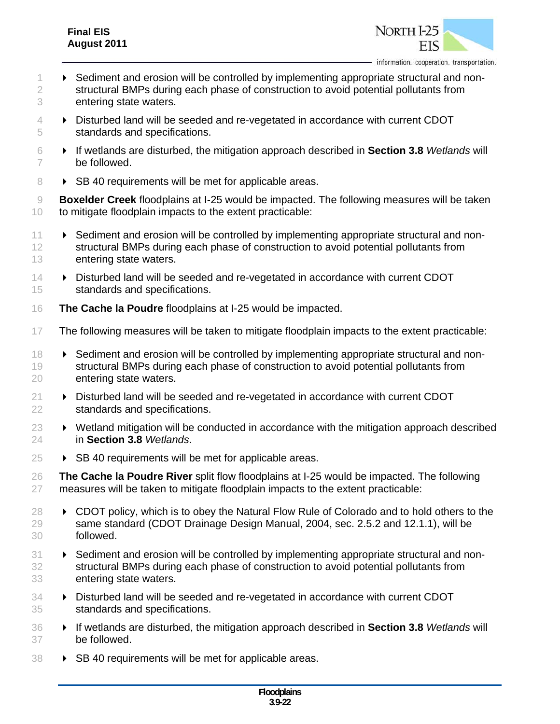

information. cooperation. transportation.

- **EXECT** Sediment and erosion will be controlled by implementing appropriate structural and non- structural BMPs during each phase of construction to avoid potential pollutants from entering state waters.
- Disturbed land will be seeded and re-vegetated in accordance with current CDOT standards and specifications.
- If wetlands are disturbed, the mitigation approach described in **Section 3.8** *Wetlands* will be followed.
- **BE 40 requirements will be met for applicable areas.**

 **Boxelder Creek** floodplains at I-25 would be impacted. The following measures will be taken to mitigate floodplain impacts to the extent practicable:

- 11 > Sediment and erosion will be controlled by implementing appropriate structural and non-12 structural BMPs during each phase of construction to avoid potential pollutants from entering state waters.
- Disturbed land will be seeded and re-vegetated in accordance with current CDOT standards and specifications.
- **The Cache la Poudre** floodplains at I-25 would be impacted.
- The following measures will be taken to mitigate floodplain impacts to the extent practicable:
- **EXED** Sediment and erosion will be controlled by implementing appropriate structural and non-19 structural BMPs during each phase of construction to avoid potential pollutants from entering state waters.
- $21 \rightarrow$  Disturbed land will be seeded and re-vegetated in accordance with current CDOT standards and specifications.
- $23 \rightarrow$  Wetland mitigation will be conducted in accordance with the mitigation approach described in **Section 3.8** *Wetlands*.
- $25 \rightarrow$  SB 40 requirements will be met for applicable areas.

 **The Cache la Poudre River** split flow floodplains at I-25 would be impacted. The following measures will be taken to mitigate floodplain impacts to the extent practicable:

- **→** CDOT policy, which is to obey the Natural Flow Rule of Colorado and to hold others to the same standard (CDOT Drainage Design Manual, 2004, sec. 2.5.2 and 12.1.1), will be followed.
- **EXED** Sediment and erosion will be controlled by implementing appropriate structural and non- structural BMPs during each phase of construction to avoid potential pollutants from entering state waters.
- 34 > Disturbed land will be seeded and re-vegetated in accordance with current CDOT standards and specifications.
- If wetlands are disturbed, the mitigation approach described in **Section 3.8** *Wetlands* will be followed.
- 38 > SB 40 requirements will be met for applicable areas.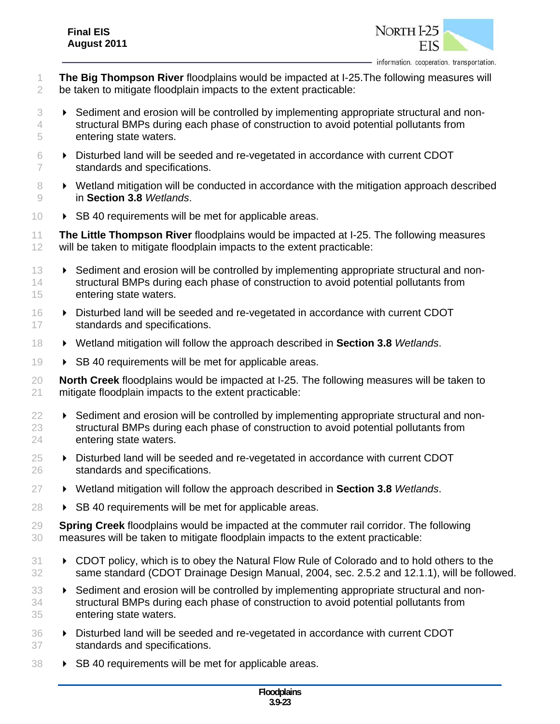

- **The Big Thompson River** floodplains would be impacted at I-25.The following measures will be taken to mitigate floodplain impacts to the extent practicable:
- **EX** Sediment and erosion will be controlled by implementing appropriate structural and non- structural BMPs during each phase of construction to avoid potential pollutants from entering state waters.
- Disturbed land will be seeded and re-vegetated in accordance with current CDOT standards and specifications.
- 8 > Wetland mitigation will be conducted in accordance with the mitigation approach described in **Section 3.8** *Wetlands*.
- 10 > SB 40 requirements will be met for applicable areas.

 **The Little Thompson River** floodplains would be impacted at I-25. The following measures 12 will be taken to mitigate floodplain impacts to the extent practicable:

- **EXED EXEDENT** Sediment and erosion will be controlled by implementing appropriate structural and non-14 structural BMPs during each phase of construction to avoid potential pollutants from entering state waters.
- Disturbed land will be seeded and re-vegetated in accordance with current CDOT 17 standards and specifications.
- Wetland mitigation will follow the approach described in **Section 3.8** *Wetlands*.
- 19 > SB 40 requirements will be met for applicable areas.
- **North Creek** floodplains would be impacted at I-25. The following measures will be taken to mitigate floodplain impacts to the extent practicable:
- 22 > Sediment and erosion will be controlled by implementing appropriate structural and non-23 structural BMPs during each phase of construction to avoid potential pollutants from entering state waters.
- Disturbed land will be seeded and re-vegetated in accordance with current CDOT standards and specifications.
- Wetland mitigation will follow the approach described in **Section 3.8** *Wetlands*.
- $28 \rightarrow$  SB 40 requirements will be met for applicable areas.
- **Spring Creek** floodplains would be impacted at the commuter rail corridor. The following measures will be taken to mitigate floodplain impacts to the extent practicable:
- CDOT policy, which is to obey the Natural Flow Rule of Colorado and to hold others to the same standard (CDOT Drainage Design Manual, 2004, sec. 2.5.2 and 12.1.1), will be followed.
- **EX** Sediment and erosion will be controlled by implementing appropriate structural and non- structural BMPs during each phase of construction to avoid potential pollutants from entering state waters.
- 36 > Disturbed land will be seeded and re-vegetated in accordance with current CDOT standards and specifications.
- 38 > SB 40 requirements will be met for applicable areas.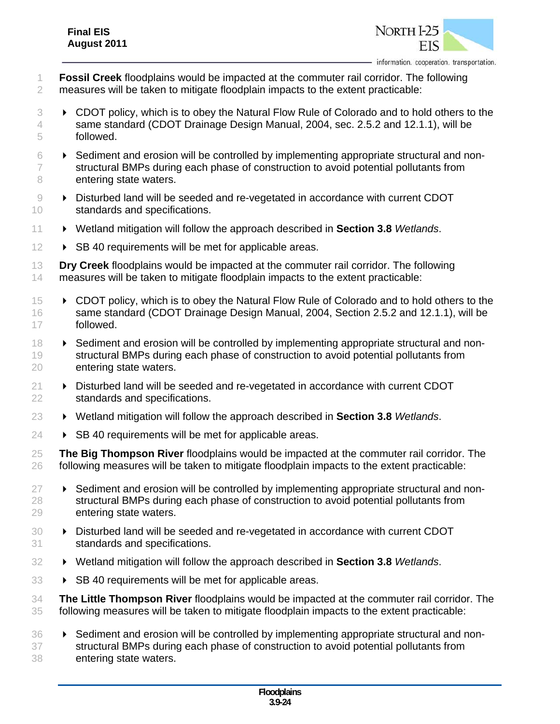

- **Fossil Creek** floodplains would be impacted at the commuter rail corridor. The following measures will be taken to mitigate floodplain impacts to the extent practicable:
- CDOT policy, which is to obey the Natural Flow Rule of Colorado and to hold others to the same standard (CDOT Drainage Design Manual, 2004, sec. 2.5.2 and 12.1.1), will be followed.
- $6 \rightarrow$  Sediment and erosion will be controlled by implementing appropriate structural and non- structural BMPs during each phase of construction to avoid potential pollutants from 8 entering state waters.
- **Disturbed land will be seeded and re-vegetated in accordance with current CDOT** standards and specifications.
- Wetland mitigation will follow the approach described in **Section 3.8** *Wetlands*.
- 12 > SB 40 requirements will be met for applicable areas.
- **Dry Creek** floodplains would be impacted at the commuter rail corridor. The following measures will be taken to mitigate floodplain impacts to the extent practicable:
- CDOT policy, which is to obey the Natural Flow Rule of Colorado and to hold others to the same standard (CDOT Drainage Design Manual, 2004, Section 2.5.2 and 12.1.1), will be followed.
- **EXED** Sediment and erosion will be controlled by implementing appropriate structural and non- structural BMPs during each phase of construction to avoid potential pollutants from entering state waters.
- Disturbed land will be seeded and re-vegetated in accordance with current CDOT standards and specifications.
- Wetland mitigation will follow the approach described in **Section 3.8** *Wetlands*.
- $24 \rightarrow$  SB 40 requirements will be met for applicable areas.
- **The Big Thompson River** floodplains would be impacted at the commuter rail corridor. The following measures will be taken to mitigate floodplain impacts to the extent practicable:
- $27 \rightarrow$  Sediment and erosion will be controlled by implementing appropriate structural and non- structural BMPs during each phase of construction to avoid potential pollutants from entering state waters.
- Disturbed land will be seeded and re-vegetated in accordance with current CDOT standards and specifications.
- Wetland mitigation will follow the approach described in **Section 3.8** *Wetlands*.
- 33 > SB 40 requirements will be met for applicable areas.
- **The Little Thompson River** floodplains would be impacted at the commuter rail corridor. The following measures will be taken to mitigate floodplain impacts to the extent practicable:
- Sediment and erosion will be controlled by implementing appropriate structural and non-37 structural BMPs during each phase of construction to avoid potential pollutants from entering state waters.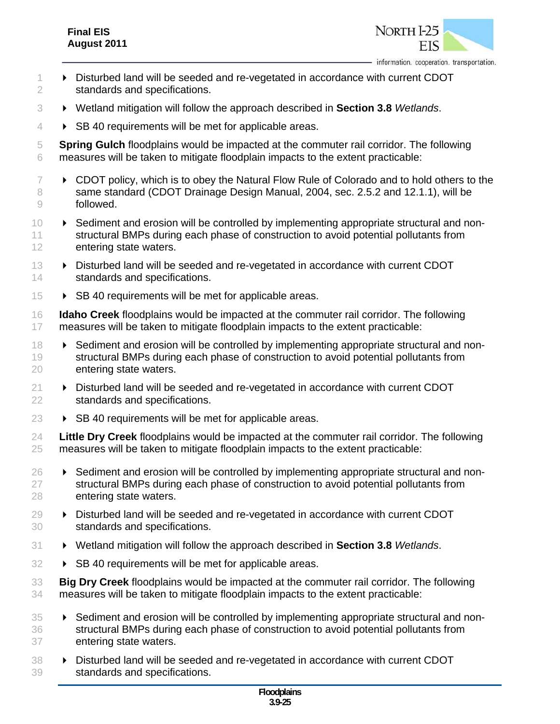

- **Disturbed land will be seeded and re-vegetated in accordance with current CDOT** standards and specifications.
- Wetland mitigation will follow the approach described in **Section 3.8** *Wetlands*.
- **BE 40 requirements will be met for applicable areas.**
- **Spring Gulch** floodplains would be impacted at the commuter rail corridor. The following measures will be taken to mitigate floodplain impacts to the extent practicable:
- $7 \rightarrow$  CDOT policy, which is to obey the Natural Flow Rule of Colorado and to hold others to the 8 same standard (CDOT Drainage Design Manual, 2004, sec. 2.5.2 and 12.1.1), will be followed.
- Sediment and erosion will be controlled by implementing appropriate structural and non- structural BMPs during each phase of construction to avoid potential pollutants from entering state waters.
- **Disturbed land will be seeded and re-vegetated in accordance with current CDOT** 14 standards and specifications.
- **B 40 requirements will be met for applicable areas.**
- **Idaho Creek** floodplains would be impacted at the commuter rail corridor. The following measures will be taken to mitigate floodplain impacts to the extent practicable:
- **EXED** Sediment and erosion will be controlled by implementing appropriate structural and non- structural BMPs during each phase of construction to avoid potential pollutants from entering state waters.
- Disturbed land will be seeded and re-vegetated in accordance with current CDOT standards and specifications.
- $23 \rightarrow$  SB 40 requirements will be met for applicable areas.
- **Little Dry Creek** floodplains would be impacted at the commuter rail corridor. The following measures will be taken to mitigate floodplain impacts to the extent practicable:
- **EXED** Sediment and erosion will be controlled by implementing appropriate structural and non-27 structural BMPs during each phase of construction to avoid potential pollutants from entering state waters.
- Disturbed land will be seeded and re-vegetated in accordance with current CDOT standards and specifications.
- Wetland mitigation will follow the approach described in **Section 3.8** *Wetlands*.
- 32 > SB 40 requirements will be met for applicable areas.
- **Big Dry Creek** floodplains would be impacted at the commuter rail corridor. The following measures will be taken to mitigate floodplain impacts to the extent practicable:
- **EXED EXEDENT** Sediment and erosion will be controlled by implementing appropriate structural and non- structural BMPs during each phase of construction to avoid potential pollutants from entering state waters.
- Disturbed land will be seeded and re-vegetated in accordance with current CDOT standards and specifications.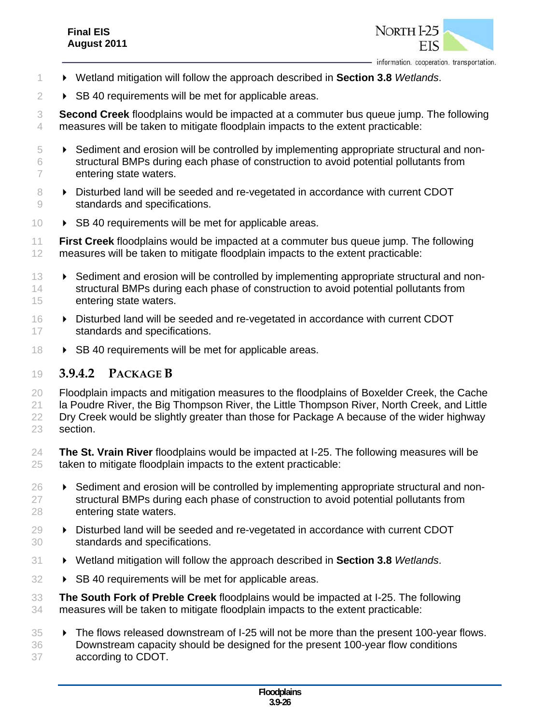

- Wetland mitigation will follow the approach described in **Section 3.8** *Wetlands*.
- $2 \rightarrow$  SB 40 requirements will be met for applicable areas.

 **Second Creek** floodplains would be impacted at a commuter bus queue jump. The following measures will be taken to mitigate floodplain impacts to the extent practicable:

- Sediment and erosion will be controlled by implementing appropriate structural and non- structural BMPs during each phase of construction to avoid potential pollutants from entering state waters.
- **Disturbed land will be seeded and re-vegetated in accordance with current CDOT** standards and specifications.
- 10 > SB 40 requirements will be met for applicable areas.

 **First Creek** floodplains would be impacted at a commuter bus queue jump. The following measures will be taken to mitigate floodplain impacts to the extent practicable:

- **Example 13** Sediment and erosion will be controlled by implementing appropriate structural and non-14 structural BMPs during each phase of construction to avoid potential pollutants from entering state waters.
- Disturbed land will be seeded and re-vegetated in accordance with current CDOT 17 standards and specifications.
- **B SB 40 requirements will be met for applicable areas.**

## **3.9.4.2 PACKAGE B**

 Floodplain impacts and mitigation measures to the floodplains of Boxelder Creek, the Cache la Poudre River, the Big Thompson River, the Little Thompson River, North Creek, and Little Dry Creek would be slightly greater than those for Package A because of the wider highway section.

- **The St. Vrain River** floodplains would be impacted at I-25. The following measures will be taken to mitigate floodplain impacts to the extent practicable:
- 26 → Sediment and erosion will be controlled by implementing appropriate structural and non-27 structural BMPs during each phase of construction to avoid potential pollutants from entering state waters.
- Disturbed land will be seeded and re-vegetated in accordance with current CDOT standards and specifications.
- Wetland mitigation will follow the approach described in **Section 3.8** *Wetlands*.
- 32 > SB 40 requirements will be met for applicable areas.

 **The South Fork of Preble Creek** floodplains would be impacted at I-25. The following measures will be taken to mitigate floodplain impacts to the extent practicable:

35 > The flows released downstream of I-25 will not be more than the present 100-year flows. Downstream capacity should be designed for the present 100-year flow conditions according to CDOT.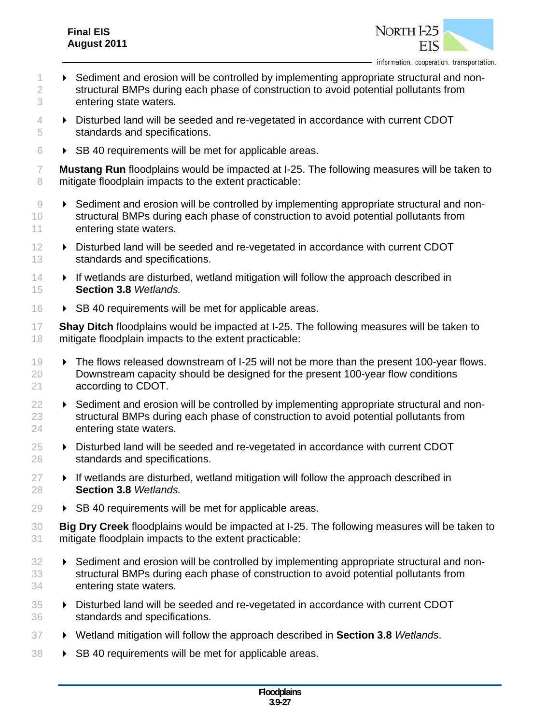

information. cooperation. transportation.

- **EXECT** Sediment and erosion will be controlled by implementing appropriate structural and non- structural BMPs during each phase of construction to avoid potential pollutants from entering state waters.
- Disturbed land will be seeded and re-vegetated in accordance with current CDOT standards and specifications.
- $6 \rightarrow$  SB 40 requirements will be met for applicable areas.

 **Mustang Run** floodplains would be impacted at I-25. The following measures will be taken to 8 mitigate floodplain impacts to the extent practicable:

- **EXED** Sediment and erosion will be controlled by implementing appropriate structural and non-10 structural BMPs during each phase of construction to avoid potential pollutants from 11 entering state waters.
- **Disturbed land will be seeded and re-vegetated in accordance with current CDOT standards and specifications.**
- $14 \rightarrow$  If wetlands are disturbed, wetland mitigation will follow the approach described in **Section 3.8** *Wetlands.*
- **BE 40 requirements will be met for applicable areas.**
- **Shay Ditch** floodplains would be impacted at I-25. The following measures will be taken to mitigate floodplain impacts to the extent practicable:
- 19 The flows released downstream of I-25 will not be more than the present 100-year flows. Downstream capacity should be designed for the present 100-year flow conditions according to CDOT.
- $22 \rightarrow$  Sediment and erosion will be controlled by implementing appropriate structural and non- structural BMPs during each phase of construction to avoid potential pollutants from entering state waters.
- $25 \rightarrow$  Disturbed land will be seeded and re-vegetated in accordance with current CDOT standards and specifications.
- $27 \rightarrow$  If wetlands are disturbed, wetland mitigation will follow the approach described in **Section 3.8** *Wetlands.*
- $29 \rightarrow$  SB 40 requirements will be met for applicable areas.
- **Big Dry Creek** floodplains would be impacted at I-25. The following measures will be taken to mitigate floodplain impacts to the extent practicable:
- **EX** Sediment and erosion will be controlled by implementing appropriate structural and non- structural BMPs during each phase of construction to avoid potential pollutants from entering state waters.
- Disturbed land will be seeded and re-vegetated in accordance with current CDOT standards and specifications.
- Wetland mitigation will follow the approach described in **Section 3.8** *Wetlands*.
- 38 > SB 40 requirements will be met for applicable areas.